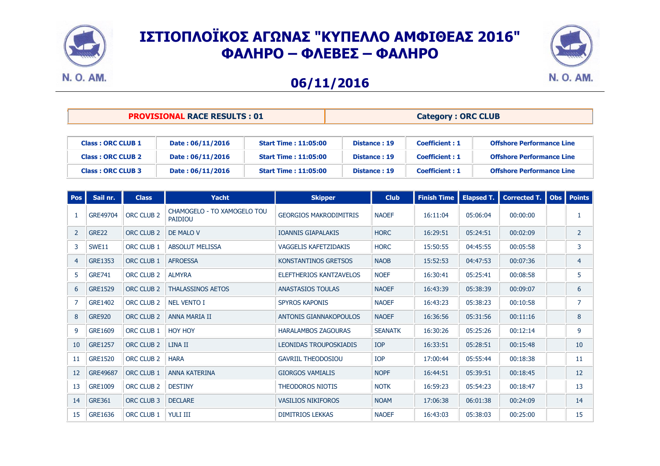



### **06/11/2016**

|  | <b>PROVISIONAL RACE RESULTS: 01</b> |
|--|-------------------------------------|
|--|-------------------------------------|

#### $\text{Category}: \text{ORC CLUB}$

| <b>Class: ORC CLUB 1</b> | Date: 06/11/2016 | <b>Start Time: 11:05:00</b> | Distance: 19 | <b>Coefficient: 1</b> | <b>Offshore Performance Line</b> |
|--------------------------|------------------|-----------------------------|--------------|-----------------------|----------------------------------|
| <b>Class: ORC CLUB 2</b> | Date: 06/11/2016 | <b>Start Time: 11:05:00</b> | Distance: 19 | <b>Coefficient: 1</b> | <b>Offshore Performance Line</b> |
| <b>Class: ORC CLUB 3</b> | Date: 06/11/2016 | <b>Start Time: 11:05:00</b> | Distance: 19 | <b>Coefficient: 1</b> | <b>Offshore Performance Line</b> |

| <b>Pos</b>     | Sail nr.       | <b>Class</b>          | <b>Yacht</b>                                  | <b>Skipper</b>                | <b>Club</b>    | <b>Finish Time</b> | <b>Elapsed T.</b> | <b>Corrected T.</b> | Obs   Points   |
|----------------|----------------|-----------------------|-----------------------------------------------|-------------------------------|----------------|--------------------|-------------------|---------------------|----------------|
| 1              | GRE49704       | ORC CLUB <sub>2</sub> | CHAMOGELO - TO XAMOGELO TOU<br><b>PAIDIOU</b> | <b>GEORGIOS MAKRODIMITRIS</b> | <b>NAOEF</b>   | 16:11:04           | 05:06:04          | 00:00:00            | 1              |
| 2              | GRE22          | ORC CLUB <sub>2</sub> | DE MALO V                                     | <b>IOANNIS GIAPALAKIS</b>     | <b>HORC</b>    | 16:29:51           | 05:24:51          | 00:02:09            | $\overline{2}$ |
| 3              | SWE11          | ORC CLUB 1            | <b>ABSOLUT MELISSA</b>                        | <b>VAGGELIS KAFETZIDAKIS</b>  | <b>HORC</b>    | 15:50:55           | 04:45:55          | 00:05:58            | 3              |
| $\overline{4}$ | <b>GRE1353</b> | ORC CLUB 1            | <b>AFROESSA</b>                               | KONSTANTINOS GRETSOS          | <b>NAOB</b>    | 15:52:53           | 04:47:53          | 00:07:36            | 4              |
| 5              | <b>GRE741</b>  | ORC CLUB 2            | <b>ALMYRA</b>                                 | ELEFTHERIOS KANTZAVELOS       | <b>NOEF</b>    | 16:30:41           | 05:25:41          | 00:08:58            | 5              |
| 6              | <b>GRE1529</b> | ORC CLUB <sub>2</sub> | <b>THALASSINOS AETOS</b>                      | <b>ANASTASIOS TOULAS</b>      | <b>NAOEF</b>   | 16:43:39           | 05:38:39          | 00:09:07            | 6              |
| 7              | GRE1402        | ORC CLUB <sub>2</sub> | <b>NEL VENTO I</b>                            | <b>SPYROS KAPONIS</b>         | <b>NAOEF</b>   | 16:43:23           | 05:38:23          | 00:10:58            | 7              |
| 8              | <b>GRE920</b>  | ORC CLUB 2            | <b>ANNA MARIA II</b>                          | <b>ANTONIS GIANNAKOPOULOS</b> | <b>NAOEF</b>   | 16:36:56           | 05:31:56          | 00:11:16            | 8              |
| 9              | <b>GRE1609</b> | ORC CLUB 1            | <b>HOY HOY</b>                                | <b>HARALAMBOS ZAGOURAS</b>    | <b>SEANATK</b> | 16:30:26           | 05:25:26          | 00:12:14            | 9              |
| 10             | <b>GRE1257</b> | ORC CLUB <sub>2</sub> | LINA II                                       | <b>LEONIDAS TROUPOSKIADIS</b> | <b>IOP</b>     | 16:33:51           | 05:28:51          | 00:15:48            | 10             |
| 11             | <b>GRE1520</b> | ORC CLUB 2            | <b>HARA</b>                                   | <b>GAVRIIL THEODOSIOU</b>     | <b>IOP</b>     | 17:00:44           | 05:55:44          | 00:18:38            | 11             |
| 12             | GRE49687       | ORC CLUB 1            | <b>ANNA KATERINA</b>                          | <b>GIORGOS VAMIALIS</b>       | <b>NOPF</b>    | 16:44:51           | 05:39:51          | 00:18:45            | 12             |
| 13             | <b>GRE1009</b> | ORC CLUB <sub>2</sub> | <b>DESTINY</b>                                | <b>THEODOROS NIOTIS</b>       | <b>NOTK</b>    | 16:59:23           | 05:54:23          | 00:18:47            | 13             |
| 14             | <b>GRE361</b>  | ORC CLUB 3            | <b>DECLARE</b>                                | <b>VASILIOS NIKIFOROS</b>     | <b>NOAM</b>    | 17:06:38           | 06:01:38          | 00:24:09            | 14             |
| 15             | GRE1636        | ORC CLUB 1            | <b>YULI III</b>                               | <b>DIMITRIOS LEKKAS</b>       | <b>NAOEF</b>   | 16:43:03           | 05:38:03          | 00:25:00            | 15             |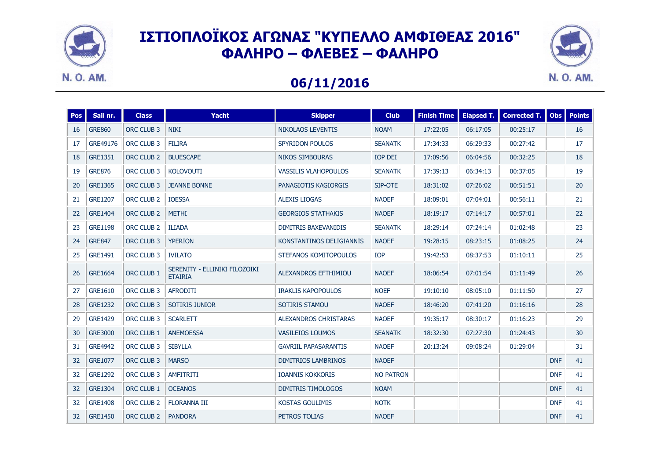



### **06/11/2016**

| <b>Pos</b> | Sail nr.       | <b>Class</b>          | <b>Yacht</b>                                    | <b>Skipper</b>               |                  | <b>Finish Time</b> | <b>Elapsed T.</b> | Corrected T. | <b>Obs</b> | <b>Points</b> |
|------------|----------------|-----------------------|-------------------------------------------------|------------------------------|------------------|--------------------|-------------------|--------------|------------|---------------|
| 16         | <b>GRE860</b>  | ORC CLUB 3            | <b>NIKI</b>                                     | <b>NIKOLAOS LEVENTIS</b>     | <b>NOAM</b>      | 17:22:05           | 06:17:05          | 00:25:17     |            | 16            |
| 17         | GRE49176       | ORC CLUB 3            | <b>FILIRA</b>                                   | SPYRIDON POULOS              | <b>SEANATK</b>   | 17:34:33           | 06:29:33          | 00:27:42     |            | 17            |
| 18         | GRE1351        | ORC CLUB 2            | <b>BLUESCAPE</b>                                | <b>NIKOS SIMBOURAS</b>       | IOP DEI          | 17:09:56           | 06:04:56          | 00:32:25     |            | 18            |
| 19         | <b>GRE876</b>  | ORC CLUB 3            | <b>KOLOVOUTI</b>                                | <b>VASSILIS VLAHOPOULOS</b>  | <b>SEANATK</b>   | 17:39:13           | 06:34:13          | 00:37:05     |            | 19            |
| 20         | <b>GRE1365</b> | ORC CLUB 3            | <b>JEANNE BONNE</b>                             | PANAGIOTIS KAGIORGIS         | SIP-OTE          | 18:31:02           | 07:26:02          | 00:51:51     |            | 20            |
| 21         | <b>GRE1207</b> | ORC CLUB 2            | <b>IOESSA</b>                                   | <b>ALEXIS LIOGAS</b>         | <b>NAOEF</b>     | 18:09:01           | 07:04:01          | 00:56:11     |            | 21            |
| 22         | GRE1404        | ORC CLUB 2            | <b>METHI</b>                                    | <b>GEORGIOS STATHAKIS</b>    | <b>NAOEF</b>     | 18:19:17           | 07:14:17          | 00:57:01     |            | 22            |
| 23         | <b>GRE1198</b> | ORC CLUB <sub>2</sub> | <b>ILIADA</b>                                   | <b>DIMITRIS BAXEVANIDIS</b>  | <b>SEANATK</b>   | 18:29:14           | 07:24:14          | 01:02:48     |            | 23            |
| 24         | <b>GRE847</b>  | ORC CLUB 3            | <b>YPERION</b>                                  | KONSTANTINOS DELIGIANNIS     | <b>NAOEF</b>     | 19:28:15           | 08:23:15          | 01:08:25     |            | 24            |
| 25         | <b>GRE1491</b> | ORC CLUB 3            | <b>IVILATO</b>                                  | STEFANOS KOMITOPOULOS        | <b>IOP</b>       | 19:42:53           | 08:37:53          | 01:10:11     |            | 25            |
| 26         | <b>GRE1664</b> | ORC CLUB 1            | SERENITY - ELLINIKI FILOZOIKI<br><b>ETAIRIA</b> | ALEXANDROS EFTHIMIOU         | <b>NAOEF</b>     | 18:06:54           |                   | 01:11:49     |            | 26            |
| 27         | GRE1610        | ORC CLUB 3            | <b>AFRODITI</b>                                 | <b>IRAKLIS KAPOPOULOS</b>    | <b>NOEF</b>      | 19:10:10           | 08:05:10          | 01:11:50     |            | 27            |
| 28         | <b>GRE1232</b> | ORC CLUB 3            | SOTIRIS JUNIOR                                  | SOTIRIS STAMOU               | <b>NAOEF</b>     | 18:46:20           | 07:41:20          | 01:16:16     |            | 28            |
| 29         | <b>GRE1429</b> | ORC CLUB 3            | <b>SCARLETT</b>                                 | <b>ALEXANDROS CHRISTARAS</b> | <b>NAOEF</b>     | 19:35:17           | 08:30:17          | 01:16:23     |            | 29            |
| 30         | <b>GRE3000</b> | ORC CLUB 1            | <b>ANEMOESSA</b>                                | <b>VASILEIOS LOUMOS</b>      | <b>SEANATK</b>   | 18:32:30           | 07:27:30          | 01:24:43     |            | 30            |
| 31         | <b>GRE4942</b> | ORC CLUB 3            | <b>SIBYLLA</b>                                  | <b>GAVRIIL PAPASARANTIS</b>  | <b>NAOEF</b>     | 20:13:24           | 09:08:24          | 01:29:04     |            | 31            |
| 32         | <b>GRE1077</b> | ORC CLUB 3            | <b>MARSO</b>                                    | <b>DIMITRIOS LAMBRINOS</b>   | <b>NAOEF</b>     |                    |                   |              | <b>DNF</b> | 41            |
| 32         | <b>GRE1292</b> | ORC CLUB 3            | <b>AMFITRITI</b>                                | <b>IOANNIS KOKKORIS</b>      | <b>NO PATRON</b> |                    |                   |              | <b>DNF</b> | 41            |
| 32         | <b>GRE1304</b> | ORC CLUB 1            | <b>OCEANOS</b>                                  | <b>DIMITRIS TIMOLOGOS</b>    | <b>NOAM</b>      |                    |                   |              | <b>DNF</b> | 41            |
| 32         | <b>GRE1408</b> | ORC CLUB <sub>2</sub> | <b>FLORANNA III</b>                             | <b>KOSTAS GOULIMIS</b>       | <b>NOTK</b>      |                    |                   |              | <b>DNF</b> | 41            |
| 32         | <b>GRE1450</b> | ORC CLUB 2            | <b>PANDORA</b>                                  | PETROS TOLIAS                | <b>NAOEF</b>     |                    |                   |              | <b>DNF</b> | 41            |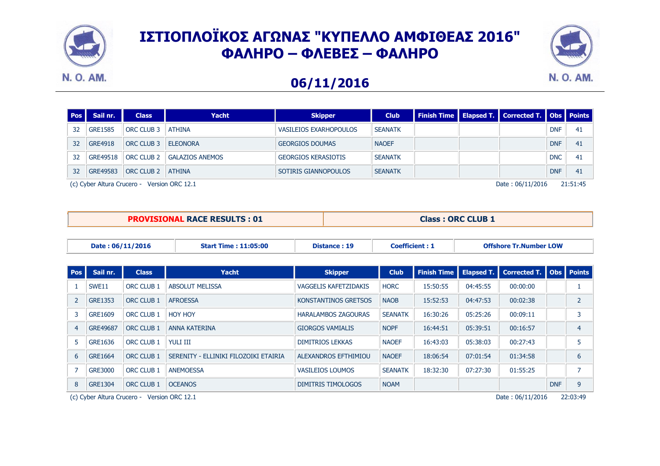



### **06/11/2016**

| <b>Pos</b> | Sail nr.       | <b>Class</b>      | Yacht                  | <b>Skipper</b>             | <b>Club</b>    |  | <b>Finish Time   Elapsed T.   Corrected T.   Obs   Points  </b> |            |    |
|------------|----------------|-------------------|------------------------|----------------------------|----------------|--|-----------------------------------------------------------------|------------|----|
| 32         | <b>GRE1585</b> | ORC CLUB 3        | ATHINA                 | VASILEIOS EXARHOPOULOS     | <b>SEANATK</b> |  |                                                                 | <b>DNF</b> | 41 |
| 32         | <b>GRE4918</b> | <b>ORC CLUB 3</b> | <b>ELEONORA</b>        | <b>GEORGIOS DOUMAS</b>     | <b>NAOEF</b>   |  |                                                                 | <b>DNF</b> | 41 |
| 32         | GRE49518       | <b>ORC CLUB 2</b> | <b>GALAZIOS ANEMOS</b> | <b>GEORGIOS KERASIOTIS</b> | <b>SEANATK</b> |  |                                                                 | <b>DNC</b> | 41 |
| 32         | GRE49583       | <b>ORC CLUB 2</b> | ATHINA                 | SOTIRIS GIANNOPOULOS       | <b>SEANATK</b> |  |                                                                 | <b>DNF</b> | 41 |

(c) Cyber Altura Crucero - Version ORC 12.1 PFIT-145 PFIT-145 Date : 06/11/2016 21:51:45

**PROVISIONAL RACE RESULTS : 01 Class : ORC CLUB 1** 

| Date: 06/11/2016<br><b>Start Time: 11:05:00</b> |          | Distance: 19              | <b>Coefficient: 1</b> |                               | <b>Offshore Tr.Number LOW</b> |                 |                     |                                                        |  |  |
|-------------------------------------------------|----------|---------------------------|-----------------------|-------------------------------|-------------------------------|-----------------|---------------------|--------------------------------------------------------|--|--|
|                                                 |          |                           |                       |                               |                               |                 |                     |                                                        |  |  |
| l Pos I                                         | Sail nr. | <b>Class</b>              | <b>Yacht</b>          | <b>Skipper</b>                | <b>Club</b>                   |                 |                     | Finish Time   Elapsed T.   Corrected T.   Obs   Points |  |  |
|                                                 | C(M)     | $ODC$ $C11D$ <sub>1</sub> | ADCOUUT MELTCCA       | <b>MACCELIC IALETTIDAI/IC</b> | IORC                          | <b>BELEALER</b> | $0.4 \cdot 10^{-1}$ | 00.00.00                                               |  |  |

|                | SWE <sub>11</sub> | ORC CLUB 1        | <b>ABSOLUT MELISSA</b>                | VAGGELIS KAFETZIDAKIS       | <b>HORC</b>    | 15:50:55 | 04:45:55 | 00:00:00 |            |   |
|----------------|-------------------|-------------------|---------------------------------------|-----------------------------|----------------|----------|----------|----------|------------|---|
|                | GRE1353           | ORC CLUB 1        | <b>AFROESSA</b>                       | <b>KONSTANTINOS GRETSOS</b> | <b>NAOB</b>    | 15:52:53 | 04:47:53 | 00:02:38 |            |   |
| 3              | <b>GRE1609</b>    | ORC CLUB 1        | <b>HOY HOY</b>                        | <b>HARALAMBOS ZAGOURAS</b>  | <b>SEANATK</b> | 16:30:26 | 05:25:26 | 00:09:11 |            |   |
| $\overline{4}$ | <b>GRE49687</b>   | ORC CLUB 1        | ANNA KATERINA                         | <b>GIORGOS VAMIALIS</b>     | <b>NOPF</b>    | 16:44:51 | 05:39:51 | 00:16:57 |            |   |
| 5              | GRE1636           | <b>ORC CLUB 1</b> | <b>YULI III</b>                       | <b>DIMITRIOS LEKKAS</b>     | <b>NAOEF</b>   | 16:43:03 | 05:38:03 | 00:27:43 |            |   |
| 6              | <b>GRE1664</b>    | ORC CLUB 1        | SERENITY - ELLINIKI FILOZOIKI ETAIRIA | ALEXANDROS EFTHIMIOU        | <b>NAOEF</b>   | 18:06:54 | 07:01:54 | 01:34:58 |            | 6 |
|                | <b>GRE3000</b>    | <b>ORC CLUB 1</b> | <b>ANEMOESSA</b>                      | <b>VASILEIOS LOUMOS</b>     | <b>SEANATK</b> | 18:32:30 | 07:27:30 | 01:55:25 |            |   |
| 8              | <b>GRE1304</b>    | <b>ORC CLUB 1</b> | <b>OCEANOS</b>                        | DIMITRIS TIMOLOGOS          | <b>NOAM</b>    |          |          |          | <b>DNF</b> | 9 |
|                |                   |                   |                                       |                             |                |          |          |          |            |   |

(c) Cyber Altura Crucero - Version ORC 12.1 **PHITCH Date : 06/11/2016** 22:03:49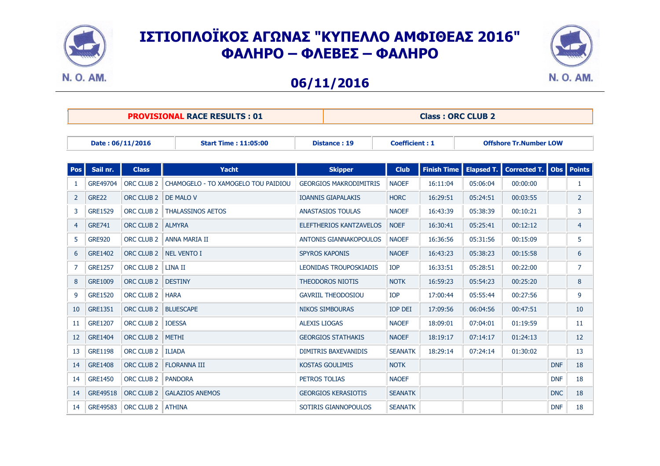



#### **06/11/2016**

|                  | <b>PROVISIONAL RACE RESULTS: 01</b> |              | <b>Class: ORC CLUB 2</b> |                       |                               |  |  |  |
|------------------|-------------------------------------|--------------|--------------------------|-----------------------|-------------------------------|--|--|--|
|                  |                                     |              |                          |                       |                               |  |  |  |
| Date: 06/11/2016 | <b>Start Time: 11:05:00</b>         | Distance: 19 |                          | <b>Coefficient: 1</b> | <b>Offshore Tr.Number LOW</b> |  |  |  |

| <b>Pos</b> | Sail nr.       | <b>Class</b>          | Yacht                               | <b>Skipper</b>                 | <b>Club</b>    | <b>Finish Time</b> | Elapsed T. | Corrected T.   Obs |            | <b>Points</b>  |
|------------|----------------|-----------------------|-------------------------------------|--------------------------------|----------------|--------------------|------------|--------------------|------------|----------------|
|            | GRE49704       | ORC CLUB <sub>2</sub> | CHAMOGELO - TO XAMOGELO TOU PAIDIOU | <b>GEORGIOS MAKRODIMITRIS</b>  | <b>NAOEF</b>   | 16:11:04           | 05:06:04   | 00:00:00           |            | 1              |
| 2          | <b>GRE22</b>   | ORC CLUB <sub>2</sub> | DE MALO V                           | <b>IOANNIS GIAPALAKIS</b>      | <b>HORC</b>    | 16:29:51           | 05:24:51   | 00:03:55           |            | $\overline{2}$ |
| 3          | <b>GRE1529</b> | <b>ORC CLUB 2</b>     | <b>THALASSINOS AETOS</b>            | <b>ANASTASIOS TOULAS</b>       | <b>NAOEF</b>   | 16:43:39           | 05:38:39   | 00:10:21           |            | 3              |
| 4          | <b>GRE741</b>  | ORC CLUB 2            | <b>ALMYRA</b>                       | <b>ELEFTHERIOS KANTZAVELOS</b> | <b>NOEF</b>    | 16:30:41           | 05:25:41   | 00:12:12           |            | 4              |
| 5          | <b>GRE920</b>  | ORC CLUB 2            | ANNA MARIA II                       | <b>ANTONIS GIANNAKOPOULOS</b>  | <b>NAOEF</b>   | 16:36:56           | 05:31:56   | 00:15:09           |            | 5              |
| 6          | <b>GRE1402</b> | ORC CLUB <sub>2</sub> | <b>NEL VENTO I</b>                  | <b>SPYROS KAPONIS</b>          | <b>NAOEF</b>   | 16:43:23           | 05:38:23   | 00:15:58           |            | 6              |
| 7          | <b>GRE1257</b> | ORC CLUB <sub>2</sub> | LINA II                             | <b>LEONIDAS TROUPOSKIADIS</b>  | <b>IOP</b>     | 16:33:51           | 05:28:51   | 00:22:00           |            | 7              |
| 8          | <b>GRE1009</b> | ORC CLUB <sub>2</sub> | <b>DESTINY</b>                      | <b>THEODOROS NIOTIS</b>        | <b>NOTK</b>    | 16:59:23           | 05:54:23   | 00:25:20           |            | 8              |
| 9          | <b>GRE1520</b> | ORC CLUB <sub>2</sub> | <b>HARA</b>                         | <b>GAVRIIL THEODOSIOU</b>      | <b>IOP</b>     | 17:00:44           | 05:55:44   | 00:27:56           |            | 9              |
| 10         | <b>GRE1351</b> | ORC CLUB 2            | <b>BLUESCAPE</b>                    | <b>NIKOS SIMBOURAS</b>         | <b>IOP DEI</b> | 17:09:56           | 06:04:56   | 00:47:51           |            | 10             |
| 11         | <b>GRE1207</b> | ORC CLUB <sub>2</sub> | <b>IOESSA</b>                       | <b>ALEXIS LIOGAS</b>           | <b>NAOEF</b>   | 18:09:01           | 07:04:01   | 01:19:59           |            | 11             |
| 12         | <b>GRE1404</b> | ORC CLUB <sub>2</sub> | <b>METHI</b>                        | <b>GEORGIOS STATHAKIS</b>      | <b>NAOEF</b>   | 18:19:17           | 07:14:17   | 01:24:13           |            | 12             |
| 13         | <b>GRE1198</b> | ORC CLUB <sub>2</sub> | <b>ILIADA</b>                       | <b>DIMITRIS BAXEVANIDIS</b>    | <b>SEANATK</b> | 18:29:14           | 07:24:14   | 01:30:02           |            | 13             |
| 14         | <b>GRE1408</b> | ORC CLUB <sub>2</sub> | <b>FLORANNA III</b>                 | <b>KOSTAS GOULIMIS</b>         | <b>NOTK</b>    |                    |            |                    | <b>DNF</b> | 18             |
| 14         | <b>GRE1450</b> | ORC CLUB <sub>2</sub> | <b>PANDORA</b>                      | PETROS TOLIAS                  | <b>NAOEF</b>   |                    |            |                    | <b>DNF</b> | 18             |
| 14         | GRE49518       | ORC CLUB 2            | <b>GALAZIOS ANEMOS</b>              | <b>GEORGIOS KERASIOTIS</b>     | <b>SEANATK</b> |                    |            |                    | <b>DNC</b> | 18             |
| 14         | GRE49583       | ORC CLUB 2            | <b>ATHINA</b>                       | SOTIRIS GIANNOPOULOS           | <b>SEANATK</b> |                    |            |                    | <b>DNF</b> | 18             |